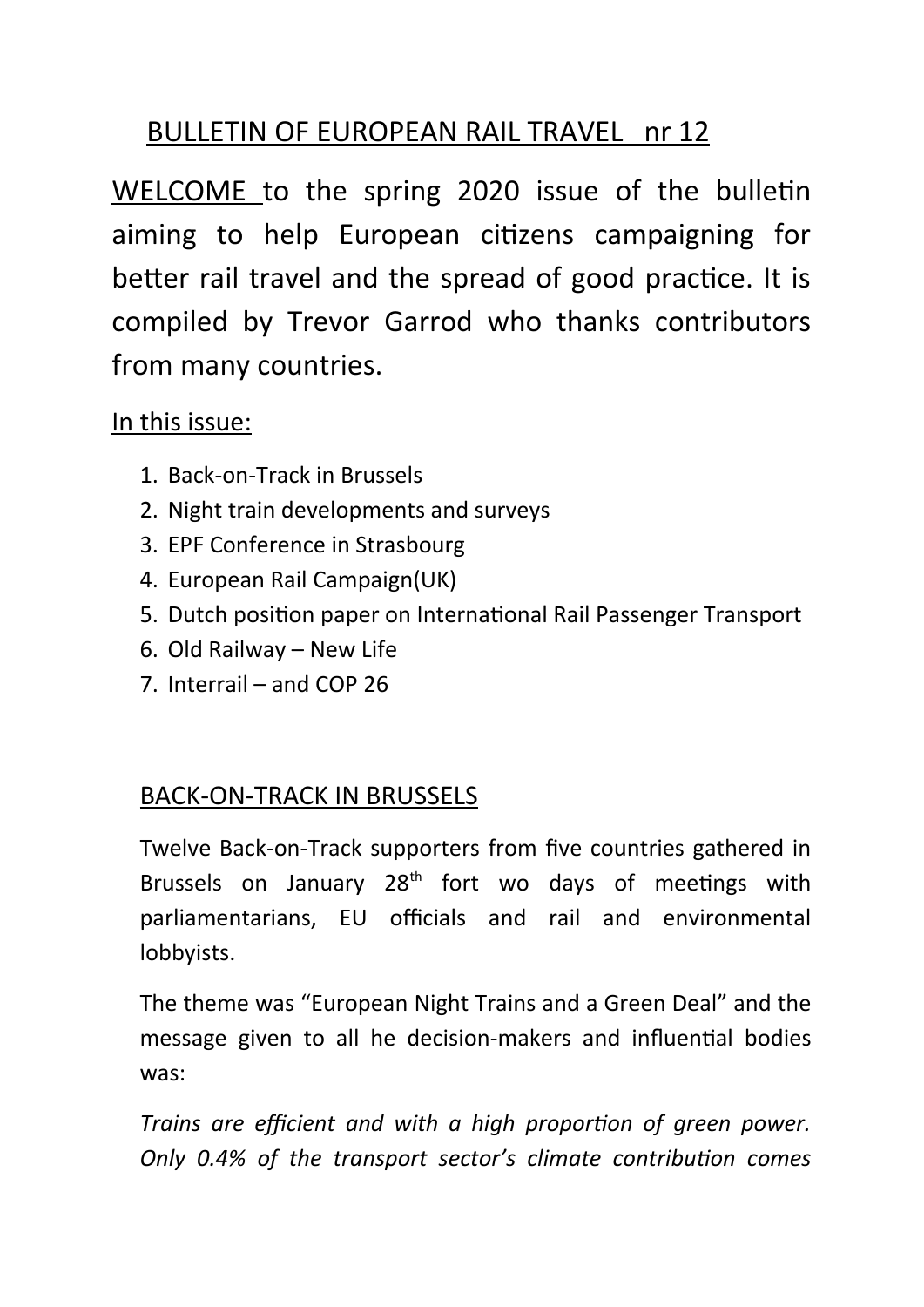# BULLETIN OF EUROPEAN RAIL TRAVEL nr 12

WELCOME to the spring 2020 issue of the bulletin aiming to help European citizens campaigning for better rail travel and the spread of good practice. It is compiled by Trevor Garrod who thanks contributors from many countries.

## In this issue:

- 1. Back-on-Track in Brussels
- 2. Night train developments and surveys
- 3. EPF Conference in Strasbourg
- 4. European Rail Campaign(UK)
- 5. Dutch position paper on International Rail Passenger Transport
- 6. Old Railway New Life
- 7. Interrail and COP 26

# BACK-ON-TRACK IN BRUSSELS

Twelve Back-on-Track supporters from five countries gathered in Brussels on January  $28<sup>th</sup>$  fort wo days of meetings with parliamentarians, EU officials and rail and environmental lobbyists.

The theme was "European Night Trains and a Green Deal" and the message given to all he decision-makers and influential bodies was:

*Trains are efficient and with a high proportion of green power. Only 0.4% of the transport sector's climate contribution comes*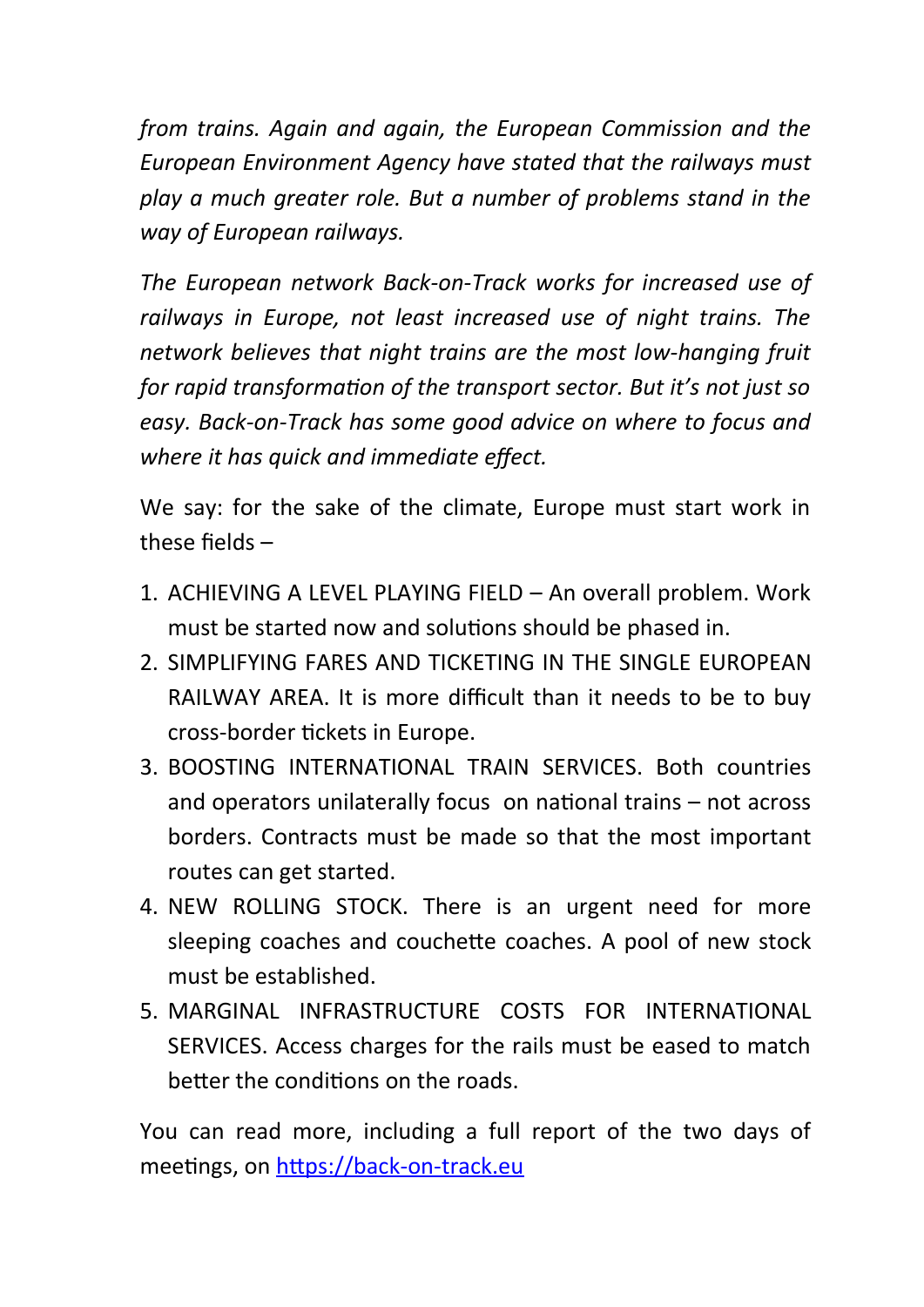*from trains. Again and again, the European Commission and the European Environment Agency have stated that the railways must play a much greater role. But a number of problems stand in the way of European railways.*

*The European network Back-on-Track works for increased use of railways in Europe, not least increased use of night trains. The network believes that night trains are the most low-hanging fruit for rapid transformation of the transport sector. But it's not just so easy. Back-on-Track has some good advice on where to focus and where it has quick and immediate effect.*

We say: for the sake of the climate, Europe must start work in these fields –

- 1. ACHIEVING A LEVEL PLAYING FIELD An overall problem. Work must be started now and solutions should be phased in.
- 2. SIMPLIFYING FARES AND TICKETING IN THE SINGLE FUROPEAN RAILWAY AREA. It is more difficult than it needs to be to buy cross-border tickets in Europe.
- 3. BOOSTING INTERNATIONAL TRAIN SERVICES. Both countries and operators unilaterally focus on national trains – not across borders. Contracts must be made so that the most important routes can get started.
- 4. NEW ROLLING STOCK. There is an urgent need for more sleeping coaches and couchette coaches. A pool of new stock must be established.
- 5. MARGINAL INFRASTRUCTURE COSTS FOR INTERNATIONAL SERVICES. Access charges for the rails must be eased to match better the conditions on the roads.

You can read more, including a full report of the two days of meetings, on [https://back-on-track.eu](https://back-on-track.eu/)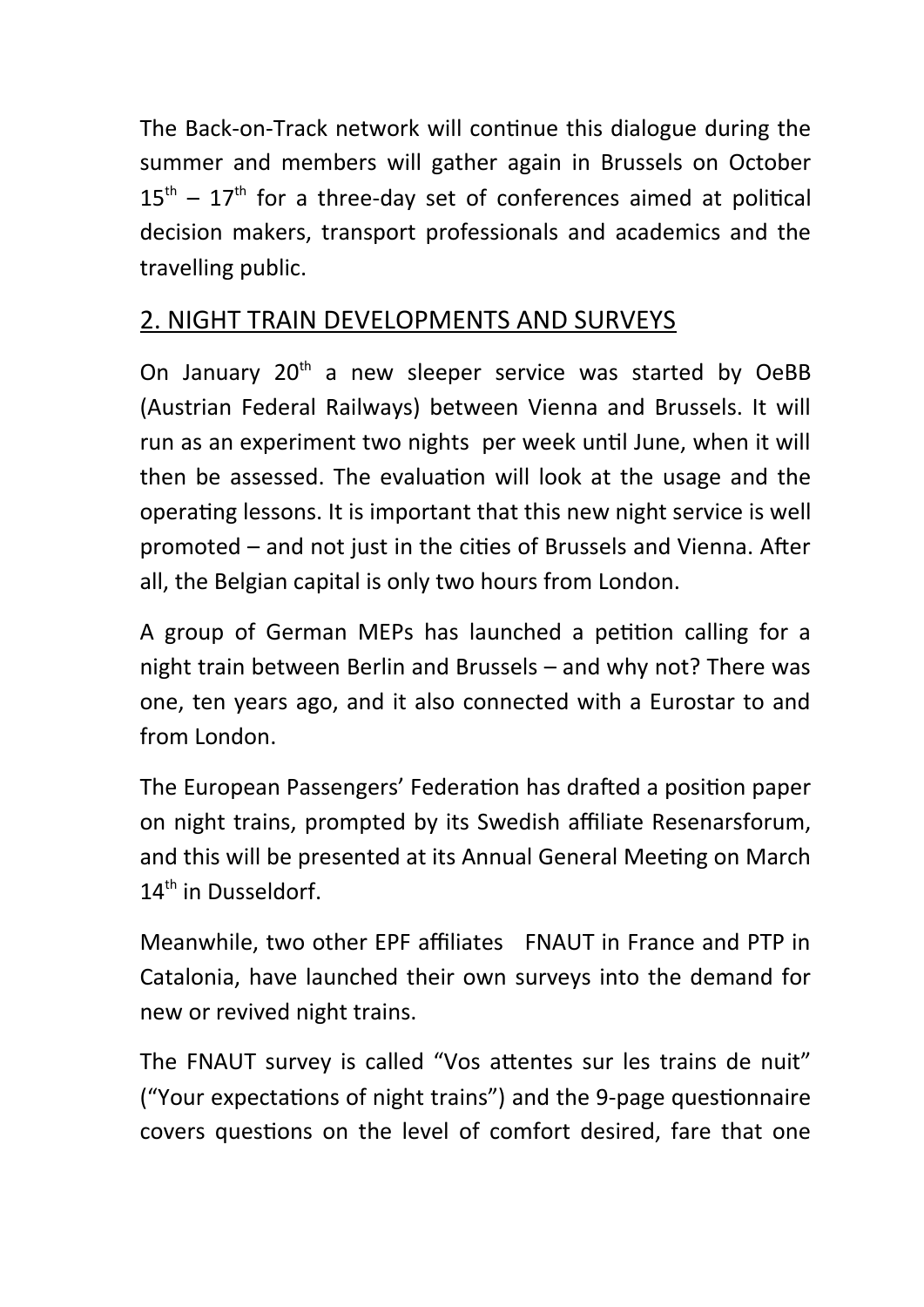The Back-on-Track network will continue this dialogue during the summer and members will gather again in Brussels on October  $15<sup>th</sup> - 17<sup>th</sup>$  for a three-day set of conferences aimed at political decision makers, transport professionals and academics and the travelling public.

# 2. NIGHT TRAIN DEVELOPMENTS AND SURVEYS

On January 20<sup>th</sup> a new sleeper service was started by OeBB (Austrian Federal Railways) between Vienna and Brussels. It will run as an experiment two nights per week until June, when it will then be assessed. The evaluation will look at the usage and the operating lessons. It is important that this new night service is well promoted – and not just in the cities of Brussels and Vienna. After all, the Belgian capital is only two hours from London.

A group of German MEPs has launched a petition calling for a night train between Berlin and Brussels – and why not? There was one, ten years ago, and it also connected with a Eurostar to and from London.

The European Passengers' Federation has drafted a position paper on night trains, prompted by its Swedish affiliate Resenarsforum, and this will be presented at its Annual General Meeting on March 14<sup>th</sup> in Dusseldorf.

Meanwhile, two other EPF affiliates FNAUT in France and PTP in Catalonia, have launched their own surveys into the demand for new or revived night trains.

The FNAUT survey is called "Vos attentes sur les trains de nuit" ("Your expectations of night trains") and the 9-page questionnaire covers questions on the level of comfort desired, fare that one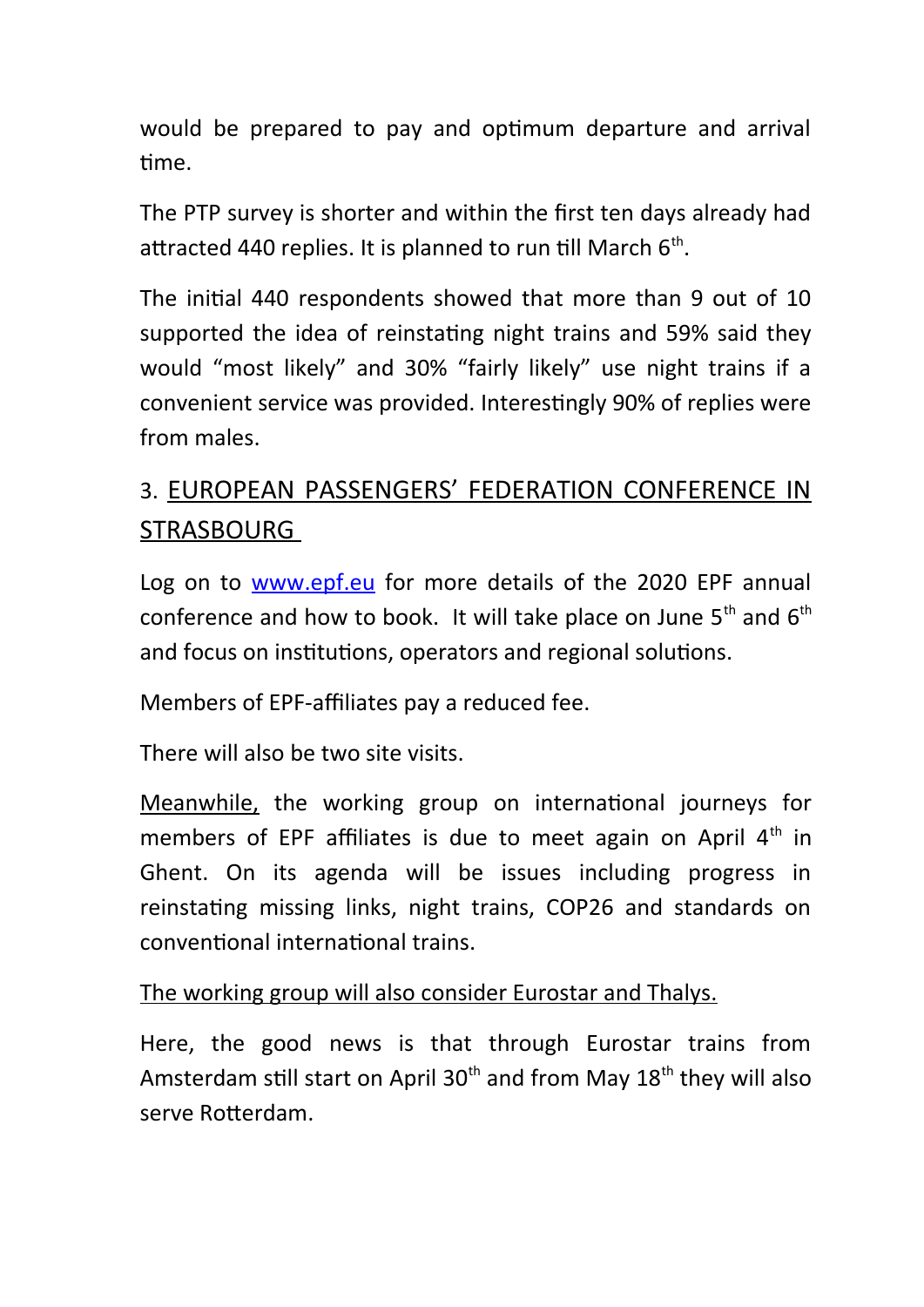would be prepared to pay and optimum departure and arrival time.

The PTP survey is shorter and within the first ten days already had attracted 440 replies. It is planned to run till March  $6<sup>th</sup>$ .

The initial 440 respondents showed that more than 9 out of 10 supported the idea of reinstating night trains and 59% said they would "most likely" and 30% "fairly likely" use night trains if a convenient service was provided. Interestingly 90% of replies were from males.

# 3. EUROPEAN PASSENGERS' FEDERATION CONFERENCE IN STRASBOURG

Log on to **www.epf.eu** for more details of the 2020 EPF annual conference and how to book. It will take place on June  $5<sup>th</sup>$  and  $6<sup>th</sup>$ and focus on institutions, operators and regional solutions.

Members of EPF-affiliates pay a reduced fee.

There will also be two site visits.

Meanwhile, the working group on international journeys for members of EPF affiliates is due to meet again on April  $4<sup>th</sup>$  in Ghent. On its agenda will be issues including progress in reinstating missing links, night trains, COP26 and standards on conventional international trains.

The working group will also consider Eurostar and Thalys.

Here, the good news is that through Eurostar trains from Amsterdam still start on April  $30<sup>th</sup>$  and from May  $18<sup>th</sup>$  they will also serve Rotterdam.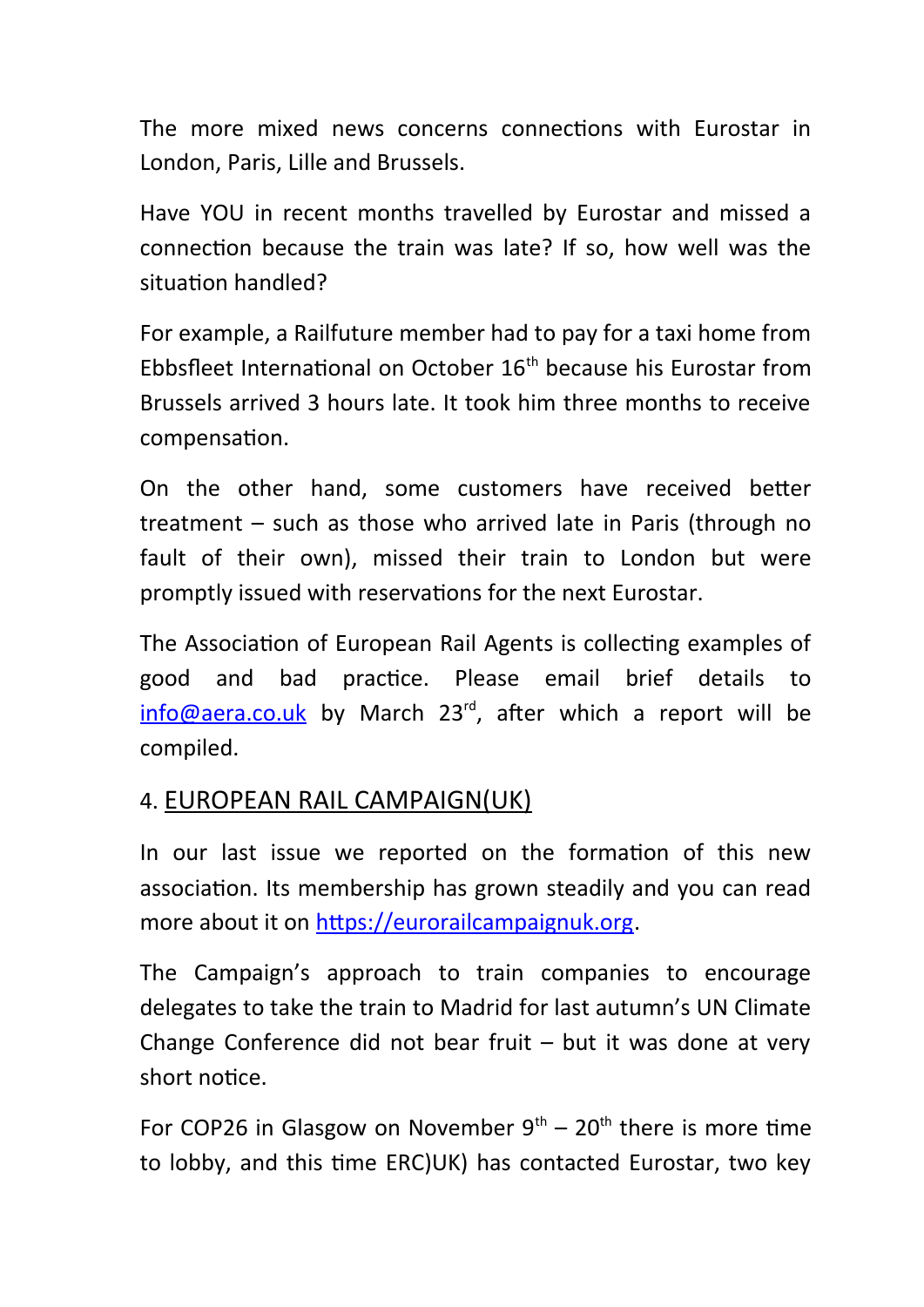The more mixed news concerns connections with Eurostar in London, Paris, Lille and Brussels.

Have YOU in recent months travelled by Eurostar and missed a connection because the train was late? If so, how well was the situation handled?

For example, a Railfuture member had to pay for a taxi home from Ebbsfleet International on October 16<sup>th</sup> because his Eurostar from Brussels arrived 3 hours late. It took him three months to receive compensation.

On the other hand, some customers have received better treatment – such as those who arrived late in Paris (through no fault of their own), missed their train to London but were promptly issued with reservations for the next Eurostar.

The Association of European Rail Agents is collecting examples of good and bad practice. Please email brief details to [info@aera.co.uk](mailto:info@aera.co.uk) by March  $23<sup>rd</sup>$ , after which a report will be compiled.

## 4. EUROPEAN RAIL CAMPAIGN(UK)

In our last issue we reported on the formation of this new association. Its membership has grown steadily and you can read more about it on [https://eurorailcampaignuk.org.](https://eurorailcampaignuk.org/)

The Campaign's approach to train companies to encourage delegates to take the train to Madrid for last autumn's UN Climate Change Conference did not bear fruit – but it was done at very short notice.

For COP26 in Glasgow on November  $9<sup>th</sup> - 20<sup>th</sup>$  there is more time to lobby, and this time ERC)UK) has contacted Eurostar, two key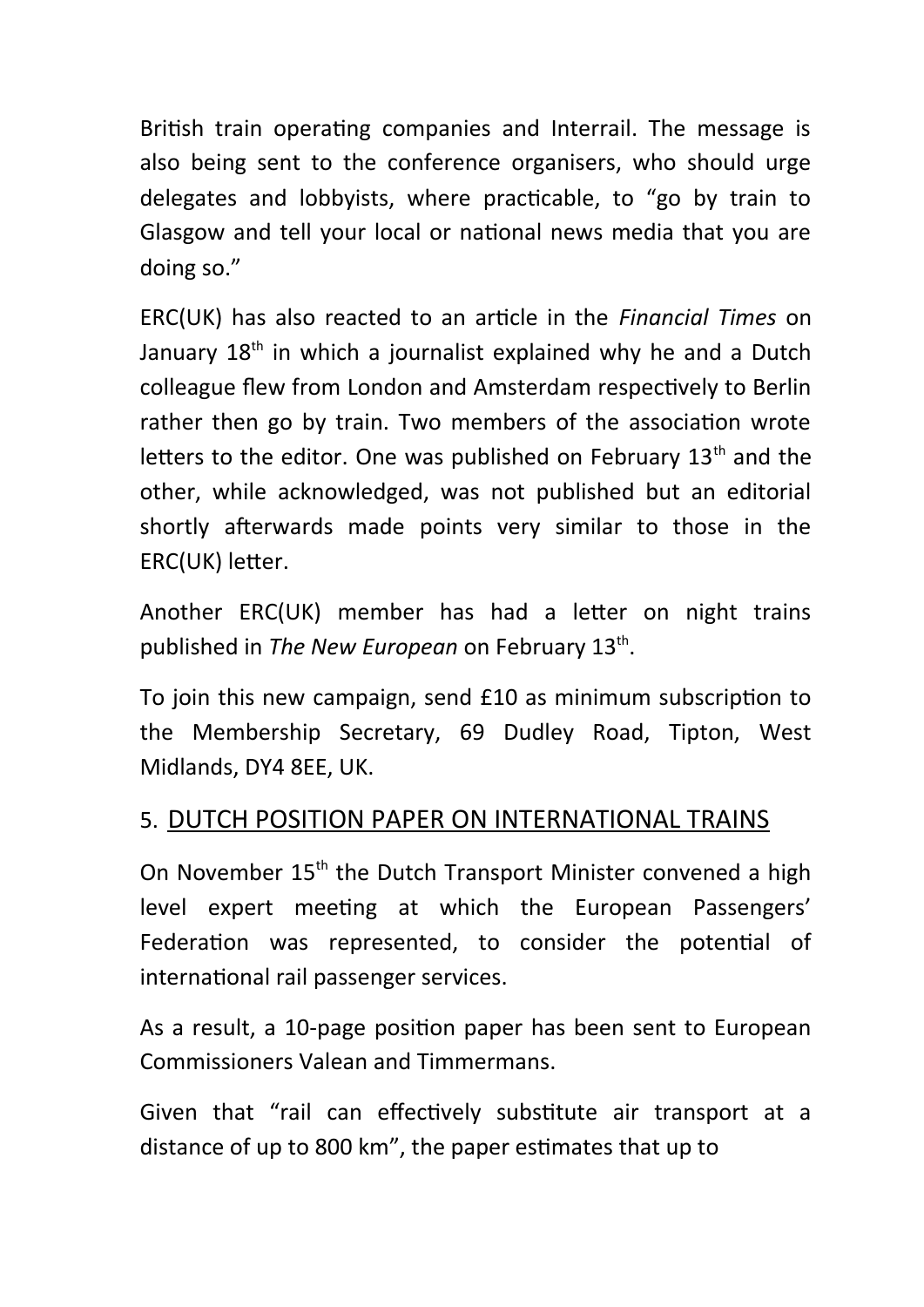British train operating companies and Interrail. The message is also being sent to the conference organisers, who should urge delegates and lobbyists, where practicable, to "go by train to Glasgow and tell your local or national news media that you are doing so."

ERC(UK) has also reacted to an article in the *Financial Times* on January  $18<sup>th</sup>$  in which a journalist explained why he and a Dutch colleague flew from London and Amsterdam respectively to Berlin rather then go by train. Two members of the association wrote letters to the editor. One was published on February 13<sup>th</sup> and the other, while acknowledged, was not published but an editorial shortly afterwards made points very similar to those in the ERC(UK) letter.

Another ERC(UK) member has had a letter on night trains published in The New European on February 13<sup>th</sup>.

To join this new campaign, send £10 as minimum subscription to the Membership Secretary, 69 Dudley Road, Tipton, West Midlands, DY4 8EE, UK.

#### 5. DUTCH POSITION PAPER ON INTERNATIONAL TRAINS

On November 15<sup>th</sup> the Dutch Transport Minister convened a high level expert meeting at which the European Passengers' Federation was represented, to consider the potential of international rail passenger services.

As a result, a 10-page position paper has been sent to European Commissioners Valean and Timmermans.

Given that "rail can effectively substitute air transport at a distance of up to 800 km", the paper estimates that up to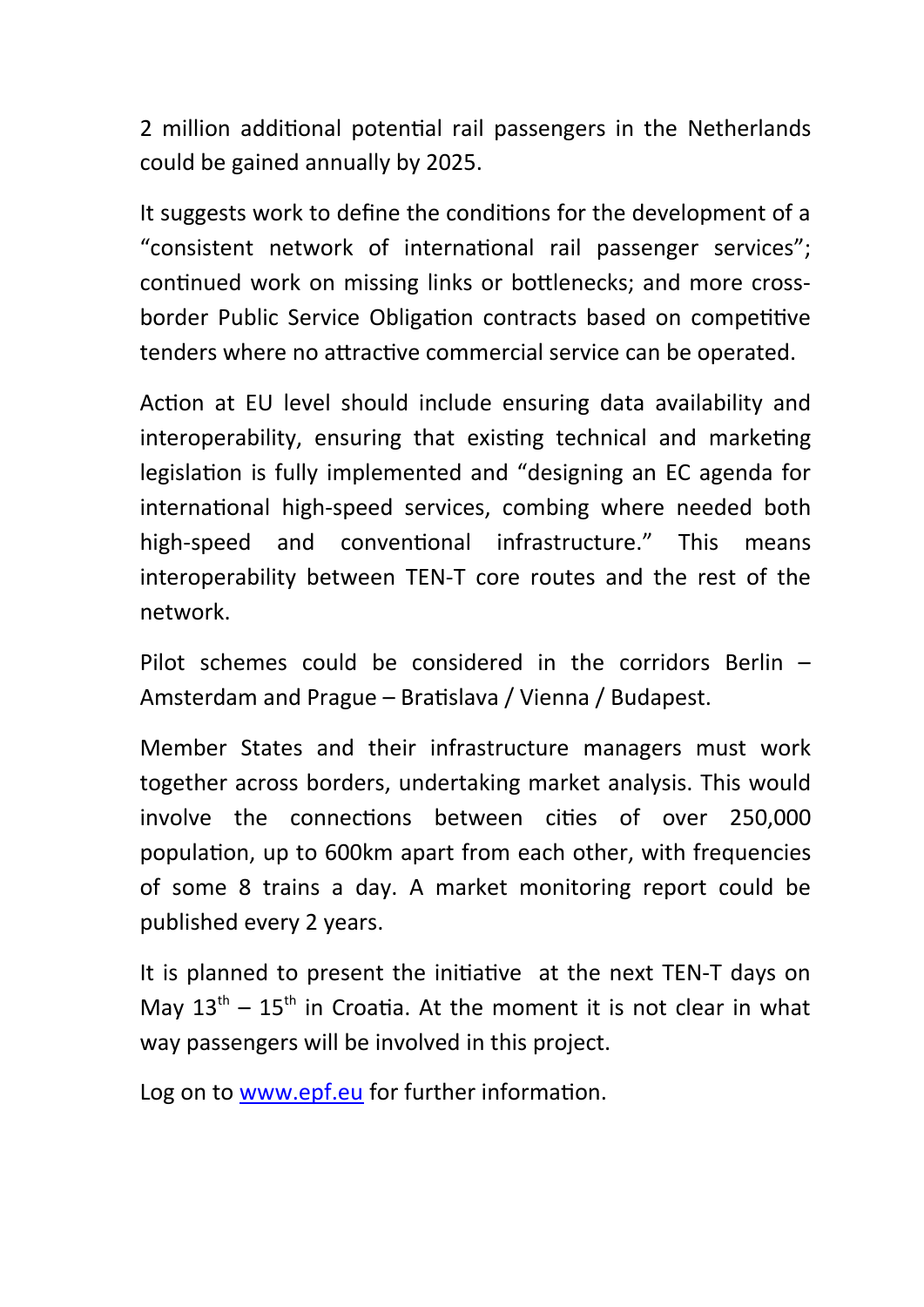2 million additional potential rail passengers in the Netherlands could be gained annually by 2025.

It suggests work to define the conditions for the development of a "consistent network of international rail passenger services"; continued work on missing links or bottlenecks; and more crossborder Public Service Obligation contracts based on competitive tenders where no attractive commercial service can be operated.

Action at EU level should include ensuring data availability and interoperability, ensuring that existing technical and marketing legislation is fully implemented and "designing an EC agenda for international high-speed services, combing where needed both high-speed and conventional infrastructure." This means interoperability between TEN-T core routes and the rest of the network.

Pilot schemes could be considered in the corridors Berlin – Amsterdam and Prague – Bratislava / Vienna / Budapest.

Member States and their infrastructure managers must work together across borders, undertaking market analysis. This would involve the connections between cities of over 250,000 population, up to 600km apart from each other, with frequencies of some 8 trains a day. A market monitoring report could be published every 2 years.

It is planned to present the initiative at the next TEN-T days on May  $13<sup>th</sup> - 15<sup>th</sup>$  in Croatia. At the moment it is not clear in what way passengers will be involved in this project.

Log on to [www.epf.eu](http://www.epf.eu/) for further information.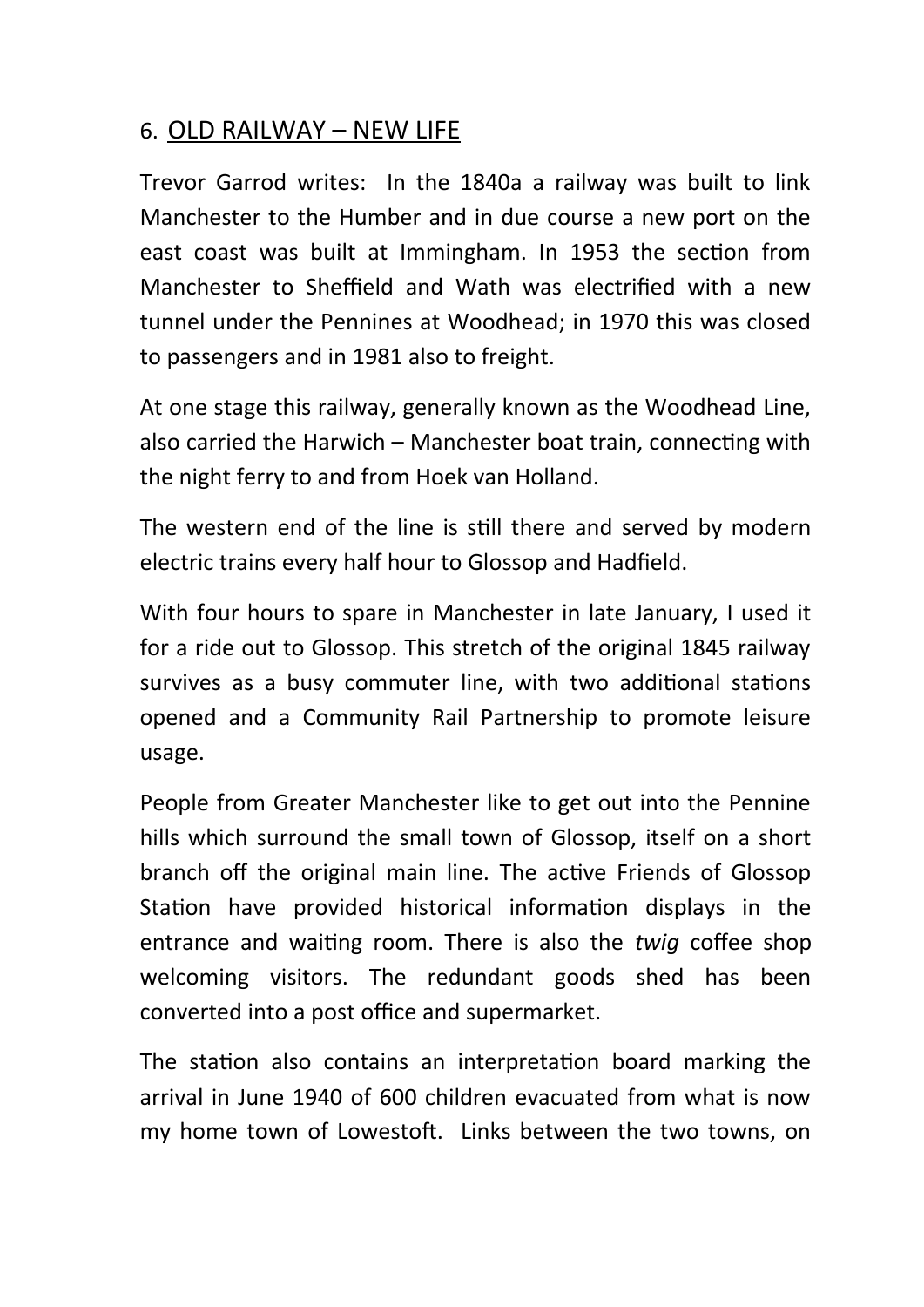### 6. OLD RAILWAY – NEW LIFE

Trevor Garrod writes: In the 1840a a railway was built to link Manchester to the Humber and in due course a new port on the east coast was built at Immingham. In 1953 the section from Manchester to Sheffield and Wath was electrified with a new tunnel under the Pennines at Woodhead; in 1970 this was closed to passengers and in 1981 also to freight.

At one stage this railway, generally known as the Woodhead Line, also carried the Harwich – Manchester boat train, connecting with the night ferry to and from Hoek van Holland.

The western end of the line is still there and served by modern electric trains every half hour to Glossop and Hadfield.

With four hours to spare in Manchester in late January, I used it for a ride out to Glossop. This stretch of the original 1845 railway survives as a busy commuter line, with two additional stations opened and a Community Rail Partnership to promote leisure usage.

People from Greater Manchester like to get out into the Pennine hills which surround the small town of Glossop, itself on a short branch off the original main line. The active Friends of Glossop Station have provided historical information displays in the entrance and waiting room. There is also the *twig* coffee shop welcoming visitors. The redundant goods shed has been converted into a post office and supermarket.

The station also contains an interpretation board marking the arrival in June 1940 of 600 children evacuated from what is now my home town of Lowestoft. Links between the two towns, on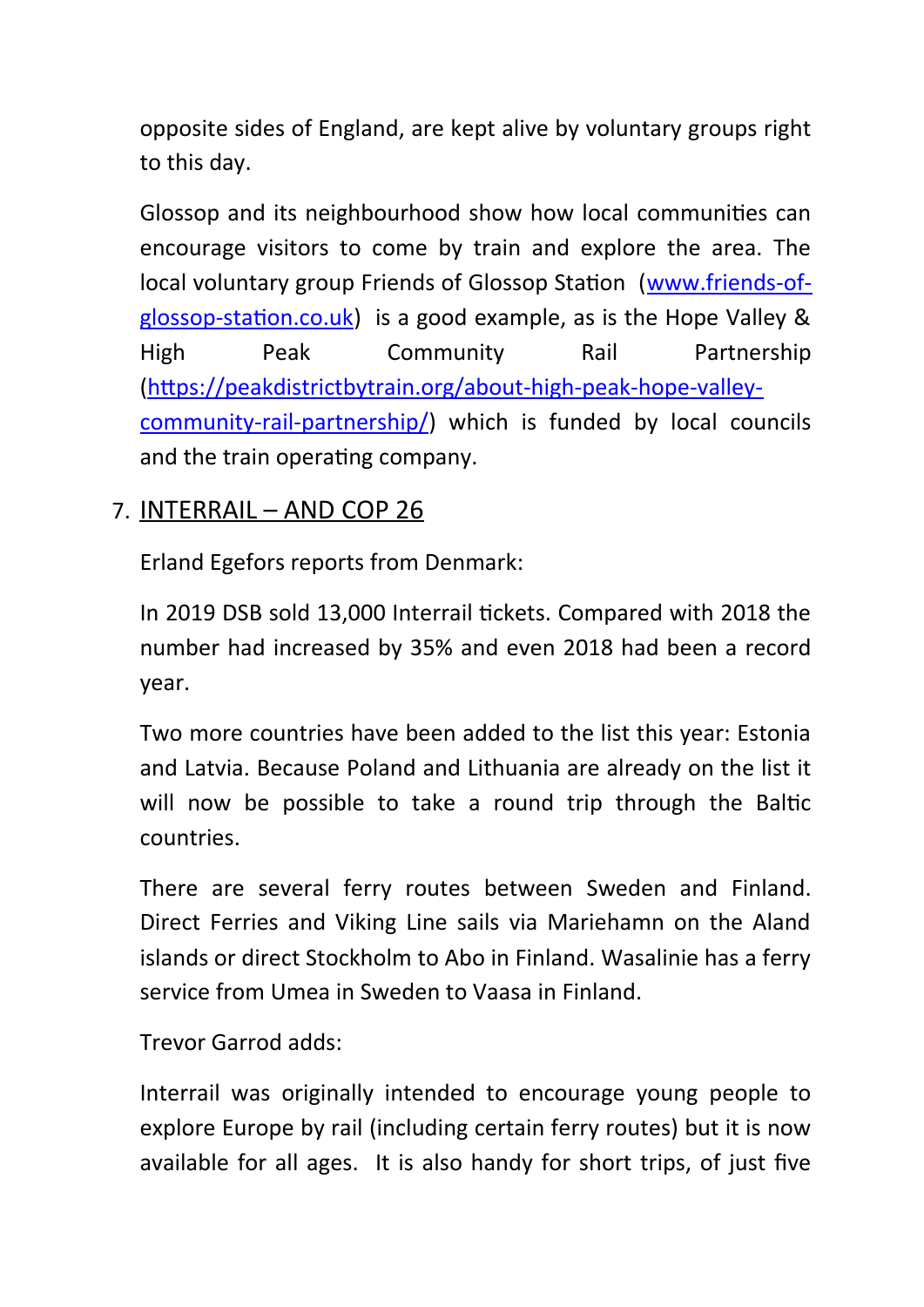opposite sides of England, are kept alive by voluntary groups right to this day.

Glossop and its neighbourhood show how local communities can encourage visitors to come by train and explore the area. The local voluntary group Friends of Glossop Station ([www.friends-of](http://www.friends-of-glossop-station.co.uk/)[glossop-station.co.uk](http://www.friends-of-glossop-station.co.uk/)) is a good example, as is the Hope Valley & High Peak Community Rail Partnership ([https://peakdistrictbytrain.org/about-high-peak-hope-valley](https://peakdistrictbytrain.org/about-high-peak-hope-valley-community-rail-partnership/)[community-rail-partnership/](https://peakdistrictbytrain.org/about-high-peak-hope-valley-community-rail-partnership/)) which is funded by local councils and the train operating company.

### 7. INTERRAIL – AND COP 26

Erland Egefors reports from Denmark:

In 2019 DSB sold 13,000 Interrail tickets. Compared with 2018 the number had increased by 35% and even 2018 had been a record year.

Two more countries have been added to the list this year: Estonia and Latvia. Because Poland and Lithuania are already on the list it will now be possible to take a round trip through the Baltic countries.

There are several ferry routes between Sweden and Finland. Direct Ferries and Viking Line sails via Mariehamn on the Aland islands or direct Stockholm to Abo in Finland. Wasalinie has a ferry service from Umea in Sweden to Vaasa in Finland.

Trevor Garrod adds:

Interrail was originally intended to encourage young people to explore Europe by rail (including certain ferry routes) but it is now available for all ages. It is also handy for short trips, of just five